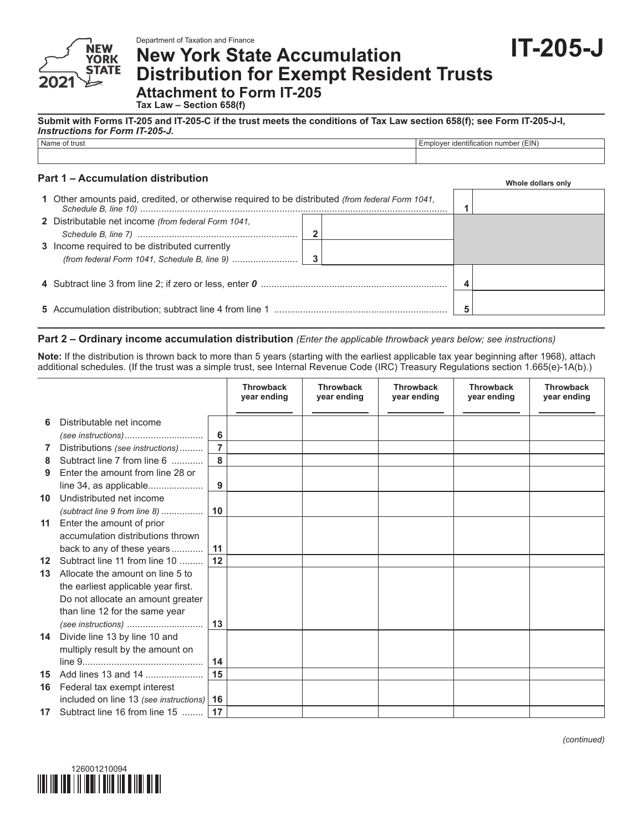Department of Taxation and Finance

# **New York State Accumulation Distribution for Exempt Resident Trusts Attachment to Form IT-205**

**Tax Law – Section 658(f)**

**Submit with Forms IT-205 and IT-205-C if the trust meets the conditions of Tax Law section 658(f); see Form IT-205-J-I,**  *Instructions for Form IT-205-J***.**

| Name of trust | $T = 18.1$<br>$-m1$<br>number<br><b>Idontification</b><br>(EIN.<br>111111.71111<br>. . |
|---------------|----------------------------------------------------------------------------------------|
|               |                                                                                        |

### **Part 1 – Accumulation distribution**

**YORK STATE** 

**Whole dollars only**

**IT-205-J**

| 1 Other amounts paid, credited, or otherwise required to be distributed (from federal Form 1041, |   |  |
|--------------------------------------------------------------------------------------------------|---|--|
| 2 Distributable net income (from federal Form 1041,<br>$\mathbf 2$                               |   |  |
| 3 Income required to be distributed currently                                                    |   |  |
|                                                                                                  |   |  |
|                                                                                                  | 5 |  |
|                                                                                                  |   |  |

## **Part 2 – Ordinary income accumulation distribution** *(Enter the applicable throwback years below; see instructions)*

**Note:** If the distribution is thrown back to more than 5 years (starting with the earliest applicable tax year beginning after 1968), attach additional schedules. (If the trust was a simple trust, see Internal Revenue Code (IRC) Treasury Regulations section 1.665(e)-1A(b).)

|                 |                                             |            | <b>Throwback</b><br>year ending | <b>Throwback</b><br>year ending | <b>Throwback</b><br>year ending | <b>Throwback</b><br>year ending | <b>Throwback</b><br>year ending |
|-----------------|---------------------------------------------|------------|---------------------------------|---------------------------------|---------------------------------|---------------------------------|---------------------------------|
| 6.              | Distributable net income                    |            |                                 |                                 |                                 |                                 |                                 |
|                 |                                             | 6          |                                 |                                 |                                 |                                 |                                 |
| 7               | Distributions (see instructions)            | 7          |                                 |                                 |                                 |                                 |                                 |
| 8               | Subtract line 7 from line 6                 |            |                                 |                                 |                                 |                                 |                                 |
| 9               | Enter the amount from line 28 or            |            |                                 |                                 |                                 |                                 |                                 |
|                 | line 34, as applicable                      | 9          |                                 |                                 |                                 |                                 |                                 |
| 10              | Undistributed net income                    |            |                                 |                                 |                                 |                                 |                                 |
|                 | (subtract line 9 from line 8)               | $\vert$ 10 |                                 |                                 |                                 |                                 |                                 |
| 11 <sup>1</sup> | Enter the amount of prior                   |            |                                 |                                 |                                 |                                 |                                 |
|                 | accumulation distributions thrown           |            |                                 |                                 |                                 |                                 |                                 |
|                 | back to any of these years                  | 11         |                                 |                                 |                                 |                                 |                                 |
| 12 <sup>1</sup> | Subtract line 11 from line 10               | 12         |                                 |                                 |                                 |                                 |                                 |
| 13              | Allocate the amount on line 5 to            |            |                                 |                                 |                                 |                                 |                                 |
|                 | the earliest applicable year first.         |            |                                 |                                 |                                 |                                 |                                 |
|                 | Do not allocate an amount greater           |            |                                 |                                 |                                 |                                 |                                 |
|                 | than line 12 for the same year              |            |                                 |                                 |                                 |                                 |                                 |
|                 | (see instructions)                          | 13         |                                 |                                 |                                 |                                 |                                 |
| 14              | Divide line 13 by line 10 and               |            |                                 |                                 |                                 |                                 |                                 |
|                 | multiply result by the amount on            |            |                                 |                                 |                                 |                                 |                                 |
|                 |                                             | 14         |                                 |                                 |                                 |                                 |                                 |
| 15              | Add lines 13 and 14                         | 15         |                                 |                                 |                                 |                                 |                                 |
| 16              | Federal tax exempt interest                 |            |                                 |                                 |                                 |                                 |                                 |
|                 | included on line 13 (see instructions)   16 |            |                                 |                                 |                                 |                                 |                                 |
| 17              | Subtract line 16 from line 15    17         |            |                                 |                                 |                                 |                                 |                                 |



*(continued)*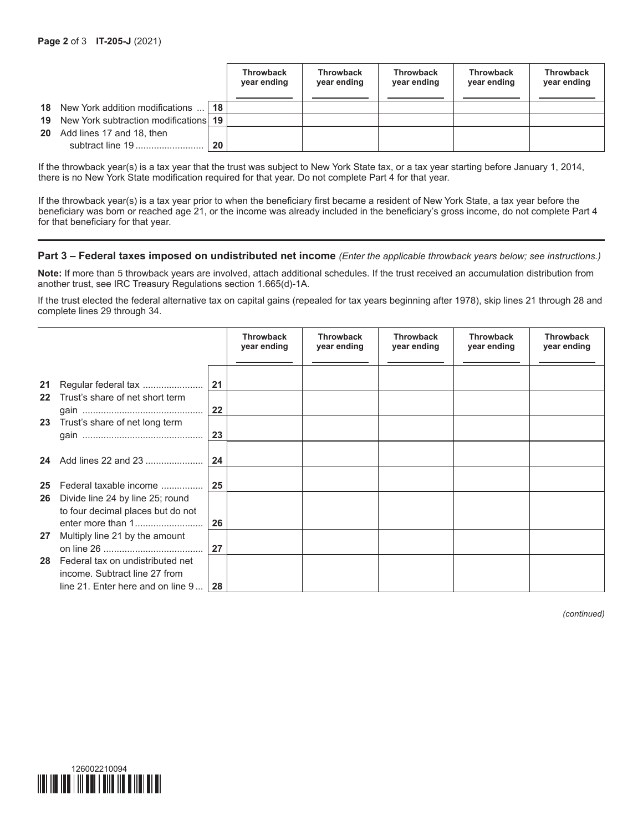|    |                                           |                 | <b>Throwback</b><br>year ending | <b>Throwback</b><br>year ending | <b>Throwback</b><br>year ending | <b>Throwback</b><br>year ending | <b>Throwback</b><br>year ending |
|----|-------------------------------------------|-----------------|---------------------------------|---------------------------------|---------------------------------|---------------------------------|---------------------------------|
|    | <b>18</b> New York addition modifications | 18 <sup>1</sup> |                                 |                                 |                                 |                                 |                                 |
| 19 | New York subtraction modifications 19     |                 |                                 |                                 |                                 |                                 |                                 |
| 20 | Add lines 17 and 18, then                 |                 |                                 |                                 |                                 |                                 |                                 |
|    | subtract line 19                          | 20              |                                 |                                 |                                 |                                 |                                 |

If the throwback year(s) is a tax year that the trust was subject to New York State tax, or a tax year starting before January 1, 2014, there is no New York State modification required for that year. Do not complete Part 4 for that year.

If the throwback year(s) is a tax year prior to when the beneficiary first became a resident of New York State, a tax year before the beneficiary was born or reached age 21, or the income was already included in the beneficiary's gross income, do not complete Part 4 for that beneficiary for that year.

#### **Part 3 – Federal taxes imposed on undistributed net income** *(Enter the applicable throwback years below; see instructions.)*

**Note:** If more than 5 throwback years are involved, attach additional schedules. If the trust received an accumulation distribution from another trust, see IRC Treasury Regulations section 1.665(d)-1A.

If the trust elected the federal alternative tax on capital gains (repealed for tax years beginning after 1978), skip lines 21 through 28 and complete lines 29 through 34.

|    |                                                                                                          |    | <b>Throwback</b><br>year ending | <b>Throwback</b><br>year ending | <b>Throwback</b><br>year ending | <b>Throwback</b><br>year ending | <b>Throwback</b><br>year ending |
|----|----------------------------------------------------------------------------------------------------------|----|---------------------------------|---------------------------------|---------------------------------|---------------------------------|---------------------------------|
| 21 | Regular federal tax                                                                                      | 21 |                                 |                                 |                                 |                                 |                                 |
| 22 | Trust's share of net short term                                                                          | 22 |                                 |                                 |                                 |                                 |                                 |
| 23 | Trust's share of net long term                                                                           | 23 |                                 |                                 |                                 |                                 |                                 |
| 24 | Add lines 22 and 23                                                                                      | 24 |                                 |                                 |                                 |                                 |                                 |
| 25 | Federal taxable income                                                                                   | 25 |                                 |                                 |                                 |                                 |                                 |
| 26 | Divide line 24 by line 25; round<br>to four decimal places but do not                                    | 26 |                                 |                                 |                                 |                                 |                                 |
| 27 | Multiply line 21 by the amount                                                                           | 27 |                                 |                                 |                                 |                                 |                                 |
| 28 | Federal tax on undistributed net<br>income. Subtract line 27 from<br>line 21. Enter here and on line $9$ | 28 |                                 |                                 |                                 |                                 |                                 |

*(continued)*